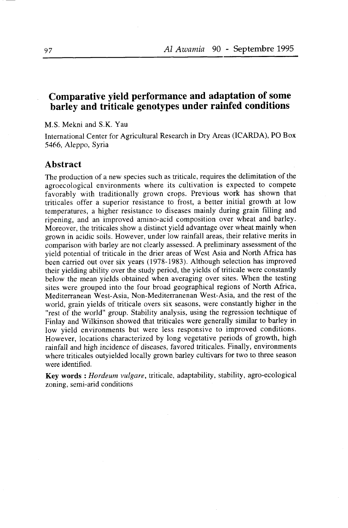# Comparative yield performance and adaptation of some barley and triticale genotypes under rainfed conditions

M.S. Mekni and S.K. Yau

International Center for Agricultural Research in Dry Areas (ICARDA), PO Box 5466, Aleppo, Syria

### Abstract

The production of a new species such as triticale, requires the delimitation of the agroecological environments where its cultivation is expected to compete favorably with traditionally grown crops. Previous work has shown that triticales offer a superior resistance to frost, a better initial growth at low temperatures, a higher resistance to diseases mainly during grain filling and ripening, and an improved amino-acid composition over wheat and barley. Moreover, the triticales show a distinct yield advantage over wheat mainly when grown in acidic soils. However, under low rainfall areas, their relative merits in comparison with barley are not clearly assessed. A preliminary assessment of the yield potential of triticale in the drier areas of West Asia and North Africa has been carried out over six years (1978-1983). Although selection has improved their yielding ability over the study period, the yields of triticale were constantly below the mean yields obtained when averaging over sites. When the testing sites were grouped into the four broad geographical regions of North Africa, Mediterranean West-Asia, Non-Mediterranenan West-Asia, and the rest of the world, grain yields of triticale overs six seasons, were constantly higher in the "rest of the world" group. Stability analysis, using the regression technique of Finlay and Wilkinson showed that triticales were generally similar to barley in low yield environments but were less responsive to improved conditions. However, locations characterized by long vegetative periods of growth, high rainfall and high incidence of diseases, favored triticales. Finally, environments where triticales outyielded locally grown barley cultivars for two to three season were identified.

Key words : Hordeum vulgare, triticale, adaptability, stability, agro-ecological zoning, semi-arid conditions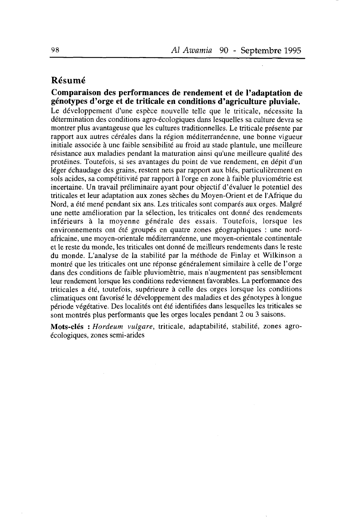# Résumé

Comparaison des performances de rendement et de I'adaptation de génotypes d'orge et de triticale en conditions d'agriculture pluviale. Le développement d'une espèce nouvelle telle que le triticale, nécessite la détermination des conditions agro-écologiques dans lesquelles sa culture devra se montrer plus avantageuse que les cultures traditionnelles. Le triticale présente par rapport aux autres céréales dans la région méditerranéenne, une bonne vigueur initiale associée à une faible sensibilité au froid au stade plantule, une meilleure résistance aux maladies pendant la maturation ainsi qu'une meilleure qualité des protéines. Toutefois, si ses avantages du point de vue rendement, en dépit d'un léger échaudage des grains. restent nets par rapport aux blés, particulièrement en sols acides, sa compétitivité par rapport à I'orge en zone à faible pluviométrie est incertaine. Un travail préliminaire ayant pour objectif d'évaluer le potentiel des triticales et leur adaptation aux zones sèches du Moyen-Orient et de I'Afrique du Nord, a été mené pendant six ans. Les triticales sont comparés aux orges. Malgré une nette amélioration par la sélection, les triticales ont donné des rendements inférieurs à la moyenne générale des essais. Toutefois, lorsque les environnements ont été groupés en quatre zones géographiques : une nordafricaine, une moyen-orientale méditerranéenne, une moyen-orientale continentale et le reste du monde, les triticales ont donné de meilleurs rendements dans le reste du monde. L'analyse de la stabilité par la méthode de Finlay et Wilkinson a montré que les triticales ont une réponse généralement similaire à celle de I'orge dans des conditions de faible pluviomètrie, mais n'augmentent pas sensiblement leur rendement lorsque les conditions redeviennent favorables. La performance des triticales a été, toutefois, supérieure à celle des orges lorsque les conditions climatiques ont favorisé le développement des maladies et des génotypes à longue période végétative. Des localités ont été identifiées dans lesquelles les triticales se sont montrés plus performants que les orges locales pendant 2 ou 3 saisons.

Mots-clés : Hordeum vulgare, triticale, adaptabilité, stabilité, zones agroécologiques, zones semi-arides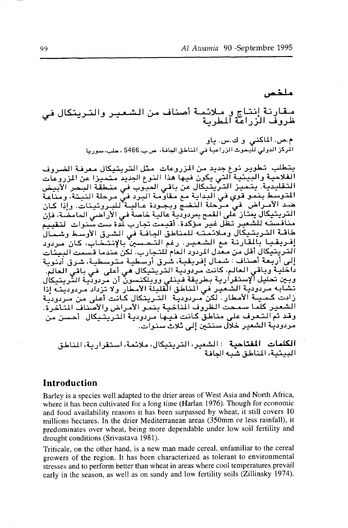# ملخص

مـقارنة إنتاج و مـلائمـة أصناف من الشـعـيـر والتـريتكال في<br>ظروف الزراعة المطربة

م.ص. الماكنى وك.س. ياق الْمِرْكَرْ الدولي للَّبِحوث الزراعية في المناطق الجافة، ص.ب.5466 ، حلب، سوريا

يتطلب تطوير نوع جديد من المزروعات مثل التريتيكال معرفة الضروف الفلاحية والبيئية التي يكون فيها هذا النوع الجديد متميزا عن الزروعات التقليدية. يتميز التربيتيكال عن باقي العبوب في منطقة البحر الأبيض المتوسط بنمو قوي في البداية مع مقاومة البرد في مرحلة النبتة، ومناعة ضد الأمـراض فيٍّ مـرَّحلة النضجِّ وبجـودة عـاليـة للبـروتينات. وإذا كـان التريتيكالُ يمَّنارْ عَلى القمح بمردوديّة عاليّة خاصةً في الْأراضي الحامضَة، فإنّ منافسته للشعير تظل غير مؤكدة. أقيمت تجارب لدة ست سنوات التقييم طاقة التريتيكال وملائمته للمناطق الجافة فى الشرق الأوسط وشمال إفريقيا بالمقارنة مع الشعير. رغم التحسين بالإنتخاب، كان مردود .<br>التريتيكال أقل من معدل المردود العام للتجارب. لكن عندما قسمت البيئات إلى أربعة أصناف َ شمال إفريقية، شرق أرسطية متوسطية، شرق أدنوبة .<br>داخلية وباقى العالم، كانت مرّدودية التربيتيكال هي أعلَى في باقي العالم. وبين تحليل الإستقرارية بطريقة فينلي وويلكنسون أن مردودية التزيتيكال تشابه مردودية الشعير في المناطق القليلة الأمطار ولا تزداد مردوديته إذاً زادت كمينة الأمطار . لكن منزدودية التنزيتكال كانت أعلى من منزدودية الشعير كلَّما سمحت الظروف المناخية بنمو الأمراض والأصناف المتأخرة. وقد تم التعرف على مناطقَ كانت فيها مردودية التريتيكال أحسن من مردودية الشعير خلال سننتين إلى ثلاث سنوات.

الكلمات المفتاحية : الشعير، التريتيكال، ملائمة، استقرارية، المناطق البيئية، المناطق شبه الحافة

### **Introduction**

Barley is a species well adapted to the drier areas of West Asia and North Africa, where it has been cultivated for a long time (Harlan 1976). Though for economic and food availability reasons it has been surpassed by wheat, it still covers 10 millions hectares. In the drier Mediterranean areas (350mm or less rainfall), it predominates over wheat, being more dependable under low soil fertility and drought conditions (Srivastava 1981).

Triticale, on the other hand, is a new man made cereal, unfamiliar to the cereal growers of the region. It has been characterized as tolerant to environmental stresses and to perform better than wheat in areas where cool temperatures prevail early in the season, as well as on sandy and low fertility soils (Zillinsky 1974).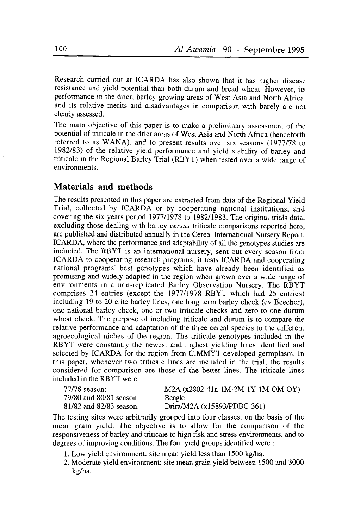Research carried out at ICARDA has also shown that it has higher disease resistance and yield potential than both durum and bread wheat. However, its performance in the drier, barley growing areas of west Asia and North Africa, and its relative merits and disadvantages in comparison with barely are not clearly assessed.

The main objective of this paper is to make a preliminary assessment of the potential of triticale in the drier areas of west Asia and North Africa (henceforth referred to as WANA), and to present results over six seasons  $(1977/78)$  to 1982183) of the relative yield performance and yield stability of barley and triticale in the Regional Barley Trial (RBYT) when tested over a wide range of environments.

## Materials and methods

The results presented in this paper are extracted from data of the Regional Yield Trial, collected by ICARDA or by cooperating national institutions, and covering the six years period 197711978 to 1982/1983. The original trials data, excluding those dealing with barley versus triticale comparisons reported here, are published and distributed annually in the Cereal International Nursery Report, ICARDA, where the performance and adaptability of all the genotypes studies are included. The RBYT is an international nursery, sent out every season from ICARDA to cooperating research programs; it tests ICARDA and cooperating national programs' best genotypes which have already been identified as promising and widely adapted in the region when grown over a wide range of environments in a non-replicated Barley Observation Nursery. The RBYT comprises 24 entries (except the 1977/1978 RBYT which had 25 entries) including  $19$  to  $20$  elite barley lines, one long term barley check (cv Beecher), one national barley check, one or two triticale checks and zero to one durum wheat check. The purpose of including triticale and durum is to compare the relative performance and adaptation of the three cereal species to the different agroecological niches of the region. The triticale genotypes included in the RBYT were constantly the newest and highest yielding lines identified and selected by ICARDA for the region from CIMMYT developed germplasm. In this paper, whenever two triticale lines are included in the trial, the results considered for comparison are those of the better lines. The triticale lines included in the RBYT were:

| 77/78 season:           | $M2A (x2802-41n-1M-2M-1Y-1M-OM-OY)$ |
|-------------------------|-------------------------------------|
| 79/80 and 80/81 season: | Beagle                              |
| 81/82 and 82/83 season: | Drira/M2A $(x15893/PDBC-361)$       |

The testing sites were arbitrarily grouped into four classes, on the basis of the mean grain yield. The objective is to allow for the comparison of the responsiveness of barley and triticale to high risk and stress environments, and to degrees of improving conditions. The four yield groups identified were :

- 1. Low yield environment: site mean yield less than 1500 kg/ha.
- 2. Moderate yield environment: site mean grain yield between 1500 and 3000 ke/ha.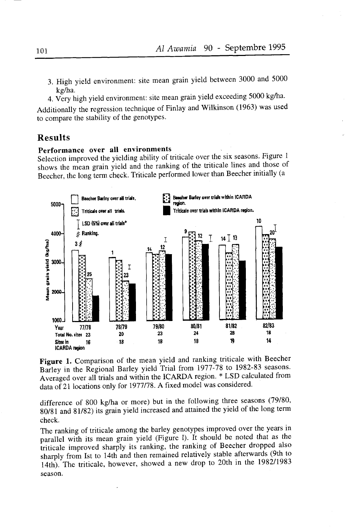- 3. High yield environment: site mean grain yield between 3000 and 5000 kg/ha.
- 4. Very high yield environment: site mean grain yield exceeding 5000 kg/ha.

Additionally the regression technique of Finlay and Wilkinson (1963) was used to compare the stability of the genotypes.

## **Results**

## Performance over all environments

Selection improved the yielding ability of triticale over the six seasons. Figure 1 shows the mean grain yield and the ranking of the triticale lines and those of Beecher, the long term check. Triticale performed lower than Beecher initially (a



Figure 1. Comparison of the mean yield and ranking triticale with Beecher Barley in the Regional Barley yield Trial from 1977-78 to 1982-83 seasons. Averaged over all trials and within the ICARDA region. \* LSD calculated from data of 21 locations only for 1977/78. A fixed model was considered.

difference of 800 kg/ha or more) but in the following three seasons (79/80, 80/81 and 81/82) its grain yield increased and attained the yield of the long term check.

The ranking of triticale among the barley genotypes improved over the years in parallel with its mean grain yield (Figure 1). It should be noted that as the triticale improved sharply its ranking, the ranking of Beecher dropped also sharply from Ist to 14th and then remained relatively stable afterwards (9th to 14th). The triticale, however, showed a new drop to 20th in the 1982/1983 season.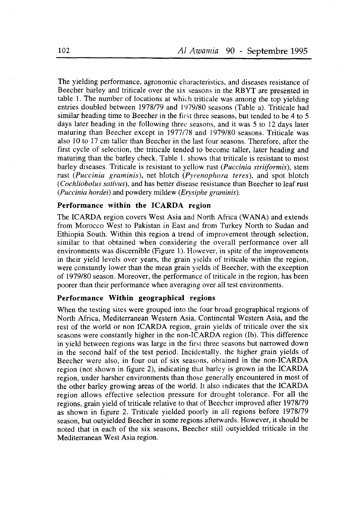The yielding performance, agronomic characteristics, and diseases resistance of Beecher barley and triticale over the six seasons in the RBYT are presented in table 1. The number of locations at which triticale was among the top yielding entries doubled between 1978/79 and 1979/80 seasons (Table a). Triticale had similar heading time to Beecher in the first three seasons, but tended to be 4 to 5 days later heading in the following three seasons, and it was  $5$  to 12 days later maturing than Beecher except in 1977/78 and 1979/80 seasons. Triticale was also l0 to 17 cm taller than Beecher in the last four seasons. Therefore, after the first cycle of selection, the triticale tended to become taller, later heading and maturing than the barley check. Table 1. shows that triticale is resistant to most barley diseases. Triticale is resistant to yellow rust (*Puccinia striiformis*), stem rust (Puccinia graminis), net blotch (Pyrenophora teres), and spot blotch (Cochliobolus sativus), and has better disease resistance than Beecher to leaf rust (Puccinia hordei) and powdery mildew (Erysiphe graminis).

### Performance within the ICARDA region

The ICARDA region covers West Asia and North Africa (WANA) and extends from Morocco West to Pakistan in East and from Turkey North to Sudan and Ethiopia South. Within this region a trend of improvement through selection, similar to that obtained when considering the overall performance over all environments was discernible (Figure l). However, in spite of the improvements in their yield levels over years, the grain yields of triticale within the region. were constantly lower than the mean grain yields of Beecher, with the exception of 1979/80 season. Moreover, the performance of triticale in the region, has been poorer than their performance when averaging over all test environments.

## Performance Within geographical regions

When the testing sites were grouped into the four broad geographical regions of North Africa, Mediterranean Western Asia, Continental Western Asia, and the rest of the world or non ICARDA region, grain yields of triticale over the six seasons were constantly higher in the non-ICARDA region (Ib). This difference in yield between regions was large in the first three seasons but narrowed down in the second half of the test period. Incidentally. the higher grain yields of Beecher were also, in four out of six seasons, obtained in the non-ICARDA region (not shown in figure 2), indicating that barley is grown in the ICARDA region, under harsher environments than those generally encountered in most of the other barley growing areas of the world. It also indicates that the ICARDA region allows effective selection pressure for drought tolerance. For all the regions, grain yield of triticale relative to that of Beecher improved after 1978/79 as shown in figure 2. Triticale yielded poorly in all regions before 1978/79 season, but outyielded Beecher in some regions afterwards. However, it should be noted that in each of the six seasons, Beecher still outyielded triticale in the Mediterranean West Asia region.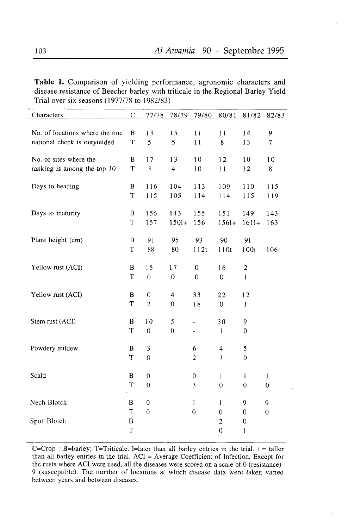Table 1. Comparison of yielding performance, agronomic characters and disease resistance of Beecher barley with triticale in the Regional Barley Yield Trial over six seasons (1971178 to 1982/83)

| $\mathsf C$<br>Characters                   | 77/78            | 78/79                    | 79/80            | 80/81                         | 81/82                 | 82/83            |
|---------------------------------------------|------------------|--------------------------|------------------|-------------------------------|-----------------------|------------------|
|                                             |                  |                          |                  |                               |                       |                  |
| No. of locations where the line<br>B        | 13               | 15                       | 11               | 11                            | 14                    | 9                |
| $\mathsf T$<br>national check is outyielded | 5                | 5                        | 11               | 8                             | 13                    | 7                |
| No. of sites where the<br>B                 | 17               | 13                       | 10               | 12                            | 10                    | 10               |
| $\mathbf T$<br>ranking is among the top 10  | $\mathfrak{Z}$   | $\overline{\mathcal{L}}$ | 10               | 11                            | 12                    | 8                |
|                                             |                  |                          |                  |                               |                       |                  |
| Days to heading<br>B                        | 116              | 104                      | 113              | 109                           | 110                   | 115              |
| T                                           | 115              | 105                      | 114              | 114                           | 115                   | 119              |
|                                             |                  | 143                      |                  |                               |                       |                  |
| Days to maturity<br>B<br>T                  | 156<br>157       | $1501+$                  | 155<br>156       | 151<br>$1561+$                | 149<br>$1611+$        | 143<br>163       |
|                                             |                  |                          |                  |                               |                       |                  |
| Plant height (cm)<br>B                      | 91               | 95                       | 93               | 90                            | 91                    |                  |
| T                                           | 88               | 80                       | 112t             | 110t                          | 100t                  | 106t             |
|                                             |                  |                          |                  |                               |                       |                  |
| Yellow rust (ACI)<br>B                      | 15               | 17                       | $\boldsymbol{0}$ | 16                            | $\boldsymbol{2}$      |                  |
| T                                           | $\boldsymbol{0}$ | $\boldsymbol{0}$         | $\overline{0}$   | $\mathbf 0$                   | $\mathbf{1}$          |                  |
| Yellow rust (ACI)<br>B                      | $\mathbf 0$      | $\overline{4}$           | 33               | 22                            | 12                    |                  |
| T                                           | $\overline{2}$   | $\theta$                 | 18               | $\overline{0}$                | $\mathbf{1}$          |                  |
|                                             |                  |                          |                  |                               |                       |                  |
| Stem rust (ACI)<br>B                        | 10               | 5                        | $\overline{a}$   | 30                            | 9                     |                  |
| T                                           | $\mathbf{0}$     | $\overline{0}$           | ä,               | $\mathbf{1}$                  | $\theta$              |                  |
| Powdery mildew<br>B                         | 3                |                          | 6                | 4                             | 5                     |                  |
| T                                           | 0                |                          | 2                | $\mathbf{1}$                  | $\theta$              |                  |
|                                             |                  |                          |                  |                               |                       |                  |
| Scald<br>B                                  | $\overline{0}$   |                          | 0                | $\mathbf{1}$                  | 1                     | 1                |
| T                                           | $\mathbf 0$      |                          | 3                | $\boldsymbol{0}$              | $\mathbf 0$           | $\boldsymbol{0}$ |
|                                             |                  |                          |                  |                               |                       |                  |
| Nech Blotch<br>B                            | $\boldsymbol{0}$ |                          | $\mathbf{1}$     | $\mathbf{1}$                  | 9                     | 9                |
| T<br>Spot Blotch<br>$\bf{B}$                | $\mathbf 0$      |                          | $\boldsymbol{0}$ | $\mathbf 0$<br>$\overline{c}$ | 0<br>$\boldsymbol{0}$ | $\boldsymbol{0}$ |
| T                                           |                  |                          |                  | $\overline{0}$                | $\mathbf 1$           |                  |

C=Crop : B=barley; T=Triticale. l=later than all barley entries in the trial.  $t = t$ aller than all barley entries in the trial. ACI = Average Coefficient of Infection. Except for the rusts where ACI were used, all the diseases were scored on a scale of 0 (resistance)- 9 (susceptible). The number of locations at which disease data were taken varied between years and between diseases.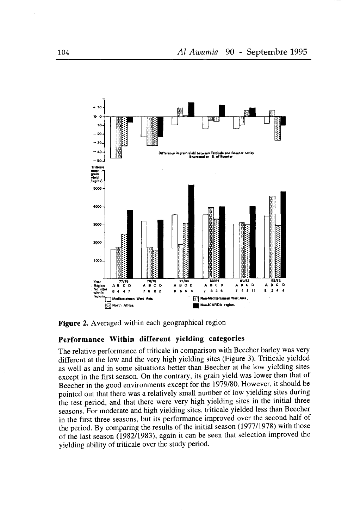

Figure 2. Averaged within each geographical region

## Performance Within different yielding categories

The relative performance of triticale in comparison with Beecher barley was very different at the low and the very high yielding sites (Figure 3). Triticale yielded as well as and in some situations better than Beecher at the low yielding sites except in the first season. On the contrary, its grain yield was lower than that of Beecher in the good environments except for the 1979/80. However, it should be pointed out that there was a relatively small number of low yielding sites during the test period, and that there were very high yielding sites in the initial three seasons. For moderate and high yielding sites, triticale yielded less than Beecher in the first three seasons, but its performance improved over the second half of the period. By comparing the results of the initial season (1977/1978) with those of the last season (1982/1983), again it can be seen that selection improved the yielding ability of triticale over the study period.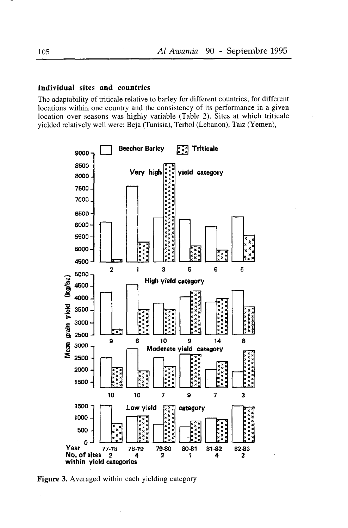#### Individual sites and countries

The adaptability of triticale relative to barley for different countries, for different locations within one country and the consistency of its performance in a given location over seasons was highly variable (Table 2). Sites at which triticale vielded relatively well were: Beja (Tunisia), Terbol (Lebanon), Taiz (Yemen),



Figure 3. Averaged within each yielding category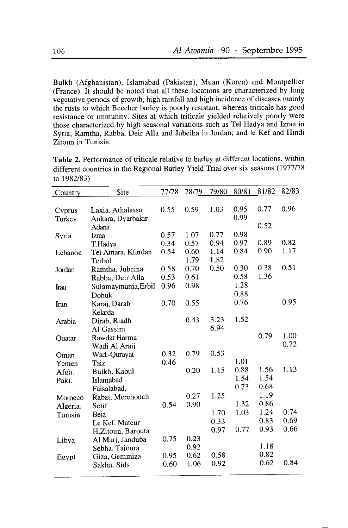Bulkh (Afghanistan), Islamabad (Pakistan), Muan (Korea) and Montpellier (France). It should be noted that all these locations are characterized by long vegetative periods of growth, high rainfall and high incidence of diseases mainly the rusts to which Beecher barley is poorly resistant, whereas triticale has good resistance or immunity. Sites at which triticale yielded relatively poorly were those characterized by high seasonal variations such as Tel Hadya and Izraa in Syria; Ramtha, Rabba, Deir Alla and Jubeiha in Jordan; and le Kef and Hindi Zitoun in Tunisia.

Table 2. Performance of triticale relative to barley at different locations, within different countries in the Regional Barley Yield Trial over six seâsons (1977/78 to 1982/83)

| Country  | Site                | 77/78 | 78/79 | 79/80 | 80/81 | 81/82 | 82/83 |
|----------|---------------------|-------|-------|-------|-------|-------|-------|
|          |                     |       |       |       |       |       |       |
| Cyprus   | Laxia, Athalassa    | 0.55  | 0.59  | 1.03  | 0.95  | 0.77  | 0.96  |
| Turkey   | Ankara, Dyarbakir   |       |       |       | 0.99  |       |       |
|          | Adana               |       |       |       |       | 0.52  |       |
| Syria    | Izraa               | 0.57  | 1.07  | 0.77  | 0.98  |       |       |
|          | T.Hadya             | 0.34  | 0.57  | 0.94  | 0.97  | 0.89  | 0.82  |
| Lebanon  | Tel Amara, Kfardan  | 0.54  | 0.60  | 1.14  | 0.84  | 0.90  | 1.17  |
|          | Terbol              |       | 1,79  | 1,82  |       |       |       |
| Jordan   | Ramtha, Jubeina     | 0.58  | 0.70  | 0.50  | 0.30  | 0.38  | 0.51  |
|          | Rabba, Deir Alla    | 0.53  | 0.61  |       | 0.58  | 1.36  |       |
| Iraq     | Sulamaymania, Erbil | 0.96  | 0.98  |       | 1.28  |       |       |
|          | Dohuk               |       |       |       | 0,88  |       |       |
| Iran     | Karaj, Darab        | 0.70  | 0.55  |       | 0.76  |       | 0.95  |
|          | Kelarda             |       |       |       |       |       |       |
| Arabia   | Dirab, Riadh        |       | 0.43  | 3.23  | 1.52  |       |       |
|          | Al Gassim           |       |       | 6.94  |       |       |       |
| Quatar   | Rawdat Harma        |       |       |       |       | 0.79  | 1.00  |
|          | Wadi Al Araij       |       |       |       |       |       | 0.72  |
| Oman     | Wadi-Qurayat        | 0.32  | 0.79  | 0.53  |       |       |       |
| Yemen    | Taiz                | 0.46  |       |       | 1.01  |       |       |
| Afgh.    | Bulkh, Kabul        |       | 0.20  | 1.15  | 0.88  | 1.56  | 1.13  |
| Paki.    | Islamabad           |       |       |       | 1.54  | 1.54  |       |
|          | Faisalabad,         |       |       |       | 0.73  | 0.68  |       |
| Morocco  | Rabat, Merchouch    |       | 0.27  | 1.25  |       | 1.19  |       |
| Algeria. | Setif               | 0.54  | 0.90  |       | 1.32  | 0.86  |       |
| Tunisia  | Beja                |       |       | 1.70  | 1.03  | 1.24  | 0.74  |
|          | Le Kef, Mateur      |       |       | 0.33  |       | 0.83  | 0.69  |
|          | H.Zitoun, Barouta   |       |       | 0.97  | 0.77  | 0.93  | 0.66  |
| Libya    | Al Mari, Janduba    | 0.75  | 0.23  |       |       |       |       |
|          | Sebha. Taioura      |       | 0.92  |       |       | 1.18  |       |
| Egypt    | Giza, Gemmiza       | 0.95  | 0.62  | 0.58  |       | 0.82  |       |
|          | Sakha, Sids         | 0.60  | 1.06  | 0.92  |       | 0.62  | 0.84  |
|          |                     |       |       |       |       |       |       |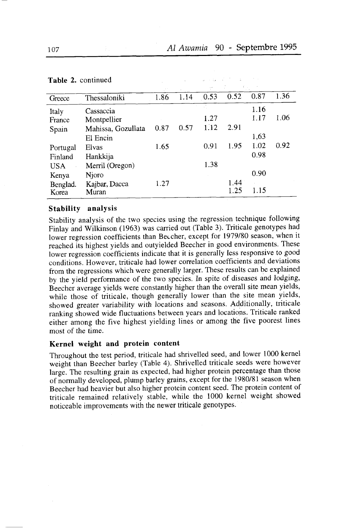Constantino and

**South Street Street** 

| Greece   | Thessaloniki       | 1.86 | 1.14 | 0.53 | 0.52 | 0.87 | 1.36 |
|----------|--------------------|------|------|------|------|------|------|
| Italy    | Cassaccia          |      |      |      |      | 1.16 |      |
| France   | Montpellier        |      |      | 1.27 |      | 1.17 | 1.06 |
| Spain    | Mahissa, Gozullata | 0.87 | 0.57 | 1.12 | 2.91 |      |      |
|          | El Encin           |      |      |      |      | 1,63 |      |
| Portugal | Elvas              | 1.65 |      | 0.91 | 1.95 | 1.02 | 0.92 |
| Finland  | Hankkija           |      |      |      |      | 0.98 |      |
| USA      | Merril (Oregon)    |      |      | 1.38 |      |      |      |
| Kenya    | Njoro              |      |      |      |      | 0.90 |      |
| Benglad. | Kajbar, Dacca      | 1.27 |      |      | 1.44 |      |      |
| Korea    | Muran              |      |      |      | 1.25 | 1.15 |      |

 $\mu_{\rm{max}}=100$ 

#### Table 2. continued

#### Stability analysis

Stability analysis of the two species using the regression technique following Finlay and Wilkinson (1963) was carried out (Table 3). Triticale genotypes had lower regression coefficients than Beccher, except for 1979/80 season, when it reached its highest yields and outyielded Beecher in good environments. These lower regression coefficients indicate that it is generally less responsive to good conditions. However, triticale had lower correlation coefficients and deviations from the regressions which were generally larger. These results can be explained by the yield performance of the two species. In spite of diseases and lodging, Beecher average yields were constantly higher than the overall site mean yields, while those of triticale, though generally lower than the site mean yields, showed greater variability with locations and seasons. Additionally, triticale ranking showed wide fluctuations between years and locations. Triticale ranked either among the five highest yielding lines or among the five poorest lines most of the time.

## Kernel weight and protein content

Throughout the test period, triticale had shrivelled seed, and lower 1000 kernel weight than Beecher barley (Table 4). Shrivelled triticale seeds were however largé. The resulting grain as expected, had higher protein percentage than those of normally developed, plump barley grains, except for the 1980/81 season when Beecher hàd heaviér but also higher protein content seed. The protein content of triticale remained relatively stable, while the 1000 kernel weight showed noticeable improvements with the newer triticale genotypes'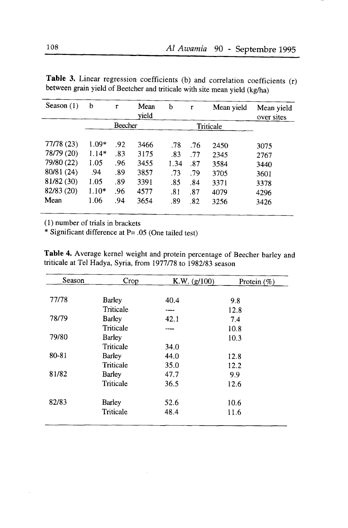| Season $(1)$             | b                  | r          | Mean<br>vield | b          | $\mathbf{r}$ | Mean yield   | Mean yield<br>over sites |
|--------------------------|--------------------|------------|---------------|------------|--------------|--------------|--------------------------|
|                          |                    | Beecher    |               |            |              | Triticale    |                          |
| 77/78(23)<br>78/79 (20)  | $1.09*$<br>$1.14*$ | .92<br>.83 | 3466<br>3175  | .78<br>.83 | .76<br>.77   | 2450<br>2345 | 3075<br>2767             |
| 79/80 (22)               | 1.05               | .96        | 3455          | 1.34       | .87          | 3584         | 3440                     |
| 80/81 (24)               | .94                | .89        | 3857          | .73        | .79          | 3705         | 3601                     |
| 81/82 (30)<br>82/83 (20) | 1.05<br>$1.10*$    | .89<br>.96 | 3391          | .85        | .84          | 3371         | 3378                     |
| Mean                     | 1.06               | .94        | 4577<br>3654  | .81<br>.89 | .87<br>.82   | 4079<br>3256 | 4296<br>3426             |

Table 3. Linear regression coefficients (b) and correlation coefficients (r) between grain yield of Beercher and triticale with site mean yield (kg/ha)

(l) number of trials in brackets

\* Significant difference at  $P = .05$  (One tailed test)

Table 4. Average kernel weight and protein percentage of Beecher barley and triticale at Tel Hadya, Syria, from 1977/78 to 1982/83 season

| Season | Crop          | K.W. (g/100) | Protein $(\%)$ |
|--------|---------------|--------------|----------------|
|        |               |              |                |
| 77/78  | <b>Barley</b> | 40.4         | 9.8            |
|        | Triticale     |              | 12.8           |
| 78/79  | <b>Barley</b> | 42.1         | 7.4            |
|        | Triticale     |              | 10.8           |
| 79/80  | <b>Barley</b> |              | 10.3           |
|        | Triticale     | 34.0         |                |
| 80-81  | <b>Barley</b> | 44.0         | 12.8           |
|        | Triticale     | 35.0         | 12.2           |
| 81/82  | <b>Barley</b> | 47.7         | 9.9            |
|        | Triticale     | 36.5         | 12.6           |
| 82/83  | <b>Barley</b> | 52.6         | 10.6           |
|        | Triticale     | 48.4         | 11.6           |
|        |               |              |                |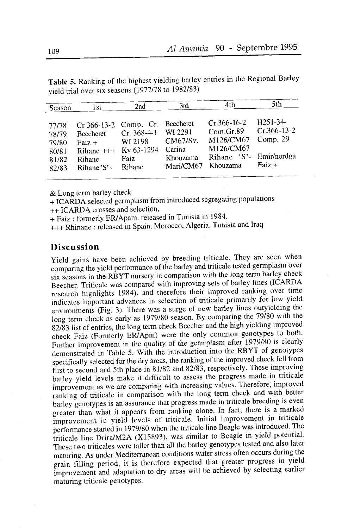Faiz  $+$ 

| Season                                    | l st                                                   | 2nd                                                                               | 3rd                                       | 4th.                                                                                | 5th                                     |
|-------------------------------------------|--------------------------------------------------------|-----------------------------------------------------------------------------------|-------------------------------------------|-------------------------------------------------------------------------------------|-----------------------------------------|
| 77/78<br>78/79<br>79/80<br>80/81<br>81/82 | <b>Beecheret</b><br>$Fair +$<br>$Rihane$ +++<br>Rihane | Cr 366-13-2 Comp. Cr. Beecheret<br>$Cr. 368-4-1$<br>WI 2198<br>Ky 63-1294<br>Faiz | WI 2291<br>CM67/Sv.<br>Carina<br>Khouzama | $Cr.366 - 16 - 2$<br>Com.Gr.89<br>M126/CM67<br>M126/CM67<br>Rihane 'S'- Emir/nordga | $H251-34-$<br>$Cr.366-13-2$<br>Comp. 29 |

Mari/CM67 Khouzama

Table 5. Ranking of the highest yielding barley entries in the Regional Barley vield trial over six seasons (1977/78 to 1982/83)

& Long term barley check

Rihane"S"-

+ ICARDA selected germplasm from introduced segregating populations ++ ICARDA crosses and selection,

+ Faiz: formerly ER/Apam. released in Tunisia in 1984.

Rihane

+++ Rhinane : released in Spain, Morocco, Algeria, Tunisia and Iraq

## **Discussion**

Yield gains have been achieved by breeding triticale. They are seen when comparing the yield performance of the barley and triticale tested germplasm over six seasons in the RBYT nursery in comparison with the long term barley check Beecher. Triticale was compared with improving sets of barley lines (ICARDA research highlights 1984), and therefore their improved ranking over time indicates important advances in selection of triticale primarily for low yield environments (Fig. 3). There was a surge of new barley lines outyielding the long term check as early as 1979/80 season. By comparing the 79/80 with the 82/83 list of entries, the long term check Beecher and the high yielding improved check Faiz (Formerly ER/Apm) were the only common genotypes to both. Further improvement in the quality of the germplasm after 1979/80 is clearly demonstrated in Table 5. With the introduction into the RBYT of genotypes specifically selected for the dry areas, the ranking of the improved check fell from first to second and 5th place in 81/82 and 82/83, respectively. These improving barley yield levels make it difficult to assess the progress made in triticale improvement as we are comparing with increasing values. Therefore, improved ranking of triticale in comparison with the long term check and with better barley genotypes is an assurance that progress made in triticale breeding is even greater than what it appears from ranking alone. In fact, there is a marked improvement in yield levels of triticale. Initial improvement in triticale performance started in 1979/80 when the triticale line Beagle was introduced. The triticale line Drira/M2A (X15893), was similar to Beagle in yield potential. These two triticales were taller than all the barley genotypes tested and also later maturing. As under Mediterranean conditions water stress often occurs during the grain filling period, it is therefore expected that greater progress in yield improvement and adaptation to dry areas will be achieved by selecting earlier maturing triticale genotypes.

82/83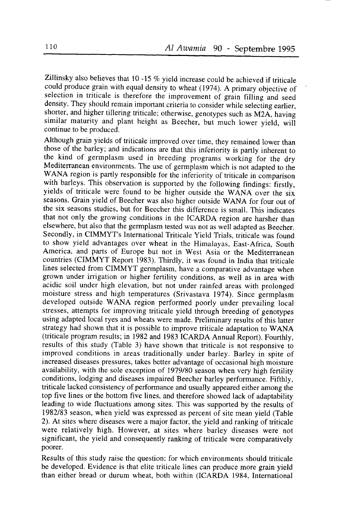Zillinsky also believes that  $10 -15$  % yield increase could be achieved if triticale could produce grain with equal density to wheat (1974). A primary objective of selection in triticale is therefore the improvement of grain filling and seed density. They should remain important criteria to consider while selecting earlier, shorter, and higher tillering triticale; otherwise, genotypes such as M2A, having similar maturity and plant height as Beecher, but much lower yield, will continue to be produced.

Although grain yields of triticale improved over time, they remained lower than those of the barley; and indications are that this inferiority is partly inherent to the kind of germplasm used in breeding programs working for the dry Mediterranean environments. The use of germplasm which is not adapted to the WANA region is partly responsible for the inferiority of triticale in comparison with barleys. This observation is supported by the following findings: firstly, vields of triticale were found to be higher outside the WANA over the six seasons. Grain yield of Beecher was also higher outside WANA for four out of the six seasons studies, but for Beecher this difference is small. This indicates that not only the growing conditions in the ICARDA region are harsher than elsewhere, but also that the germplasm tested was not as well adapted as Beecher. Secondly, in CIMMYT's International Triticale Yield Trials, triticale was found to show yield advantages over wheat in the Himalayas, East-Africa, South America, and parts of Europe but not in west Asia or the Mediterranean countries (CIMMYT Reporr 1983). Thirdly, it was found in India that rriricale lines selected from GIMMYT germplasm, have a comparative advantage when grown under irrigation or higher fertility conditions, as well as in area with acidic soil under high elevation, but not under rainfed areas with prolonged moisture stress and high temperatures (Srivastava 1974). Since germplasm developed outside WANA region performed poorly under prevailing local stresses, attempts for improving triticale yield through breeding of genotypes using adapted local ryes and wheats were made. Preliminary results of this latter strategy had shown that it is possible to improve triticale adaptation to WANA (triticale program results; in 1982 and 1983ICARDA Annual Report). Fourthly, results of this study (Table 3) have shown that triticale is not responsive to improved conditions in areas traditionally under barley. Barley in spite of increased diseases pressures, takes better advantage of occasional high moisture availability, with the sole exception of 1979/80 season when very high fertility conditions, lodging and diseases impaired Beecher barley performance. Fifthly, triticale lacked consistency of performance and usually appeared either among the top five lines or the bottom five lines, and therefore showed lack of adaptability leading to wide fluctuations among sites. This was supported by the results of 1982/83 season, when yield was expressed as percent of site mean yield (Table 2). At sites where diseases were a major factor, the yield and ranking of triticale were relatively high. However, at sites where barley diseases were not significant, the yield and consequently ranking of triticale were comparatively poorer.

Results of this study raise the question: for which environments should triticale be developed. Evidence is that elite triticale lines can produce more grain yield than either bread or durum wheat, both within (ICARDA 1984, International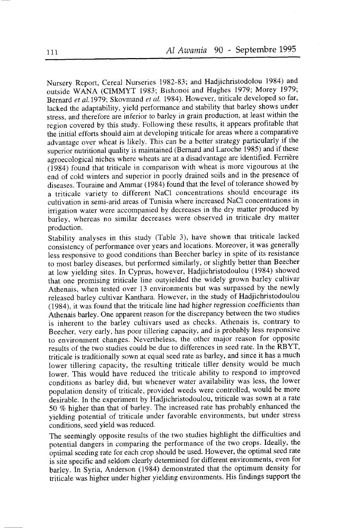Nursery Report, Cereal Nurseries 1982-83; and Hadjichristodolou 1984) and outside WANA (CIMMYT 1983; Bishonoi and Hughes 1979; Morey 1979: Bernard et al. 1979; Skovmand et al. 1984). However, triticale developed so far, lacked the adaptability, yield performance and stability that barley shows under stress, and therefore are inferior to barley in grain production, at least within the region covered by this study. Following these results, it appears profitable that thè initial efforts should aim at developing triticale for areas where a comparative advantage over wheat is likely. This can be a better strategy particularly if the superior nutritional quality is maintained (Bernard and Laroche 1985) and if these agroecological niches where wheats are at a disadvantage are identified. Ferrière  $(1984)$  found that triticale in comparison with wheat is more vigourous at the end of cold winters and superior in poorly drained soils and in the presence of diseases. Touraine and Ammar ( 1984) found that the level of tolerance showed by a triticale variety to different NaCl concentrations should encourage its cultivation in semi-arid areas of Tunisia where increased NaCl concentrations in irrigation water were accompanied by decreases in the dry matter produced by bariey, whereas no similar decreases were observed in triticale dry matter production.

Stability analyses in this study (Table 3), have shown that triticale lacked consistency of performance over years and locations. Moreover, it was generally less responsive to good conditions than Beecher barley in spite of its resistance to mostbarley diseases, but performed similarly, or slightly better than Beecher at low yielding sites. In Cyprus, however, Hadjichristodoulou (1984) showed that onè promising triticale line outyielded the widely grown barley cultivar Athenais, when tested over 13 environments but was surpassed by the newly released barley cultivar Kanthara. However, in the study of Hadjichristodoulou (1984), it was found that the triticale line had higher regression coefficients than Athenais barley. One apparent reason for the discrepancy between the two studies is inherent to the barley cultivars used as checks. Athenais is, contrary to Beecher, very early, has poor tillering capacity, and is probably less responsive to environment changes. Nevertheless, the other major reason for opposite results of the two studies could be due to differences in seed rate. In the RBYT, triticale is traditionally sown at equal seed rate as barley, and since it has a much lower tillering capacity, the resulting triticale tiller density would be much lower. This would have reduced the triticale ability to respond to improved conditions as barley did, but whenever water availability was less, the lower population density of triticale, provided weeds were controlled, would be more desirable. In the experiment by Hadjichristodoulou, triticale was sown at a rate 5O Vo htgher than that of barley. The increased rate has probably enhanced the yielding potential of triticale under favorable environments, but under stress conditions, seed yield was reduced.

The seemingly opposite results of the two studies highlight the difficulties and potential dangers in comparing the performance of the two crops. Ideally, the ôptimal seeding rate for each crop should be used. However, the optimal seed rate is site specific ànd seldom clearly determined for different environments, even for barley. In Syria, Anderson (1984) demonstrated that the optimum density for triticàle was higher under higher yielding environments. His findings support the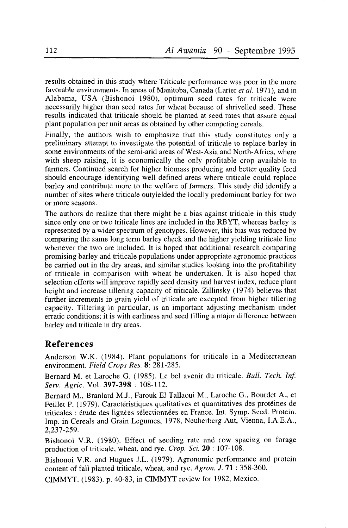results obtained in this study where Triticale performance was poor in the more favorable environments. In areas of Manitoba, Canada (Larter et al. 1971), and in Alabama, USA (Bishonoi 1980), optimum seed rates for triticale were necessarily higher than seed rates for wheat because of shrivelled seed. These results indicated that triticale should be planted at seed rates that assure equal plant population per unit areas as obtained by other competing cereals.

Finally, the authors wish to emphasize that this study constitutes only a preliminary attempt to investigate the potential of triticale to replace barley in some environments of the semi-arid areas of West-Asia and North-Africa, where with sheep raising, it is economically the only profitable crop available to farmers. Continued search for higher biomass producing and better quality feed should encourage identifying well defined areas where triticale could replace barley and contribute more to the welfare of farmers. This study did identify a number of sites where triticale outyielded the locally predominant barley for two or more seasons.

The authors do realize that there might be a bias against triticale in this study since only one or two triticale lines are included in the RBYT, whereas barley is represented by a wider spectrum of genotypes. However, this bias was reduced by comparing the same long term barley check and the higher yielding triticale line whenever the two are included. It is hoped that additional research comparing promising barley and triticale populations under appropriate agronomic practices be carried out in the dry areas, and similar studies looking into the profitability of triticale in comparison with wheat be undertaken. It is also hoped that selection efforts will improve rapidly seed density and harvest index, reduce plant height and increase tillering capacity of triticale. Zillinsky (1974) believes that further incremenls in grain yield of triticale are excepted from higher tillering capacity. Tillering in particular, is an important adjusting mechanism under erratic conditions; it is with earliness and seed filling a major difference between barley and triticale in dry areas.

## References

Anderson W.K. (1984). Plant populations for triticale in a Mediterranean environment. Field Crops Res. 8: 281-285.

Bernard M. et Laroche G. (1985). Le bel avenir du triticale. Bull. Tech. Inf. Serv. Agric. Vol.397-398 : 108-112.

Bernard M., Branlard M.J., Farouk El Tallaoui M., Laroche G., Bourdet A., et Feillet P. (1979). Caractéristiques qualitatives et quantitatives des protéines de triticales : étude des lignées sélectionnées en France. Int. Symp. Seed. Protein. Imp. in Cereals and Grain Legumes, 1978, Neuherberg Aut, Vienna, I.A.E.A., 2,237-259.

Bishonoi V.R. (1980). Effect of seeding rate and row spacing on forage production of triticale, wheat, and rye, Crop. Sci.20 : 107-108.

Bishonoi V.R. and Hugues J.L. (1979). Agronomic performance and protein content of fall planted triticale, wheat, and rye. Agron.  $J. 71$ : 358-360.

CIMMYT. (1983). p. 40-83, in CIMMYT review for 1982, Mexico.